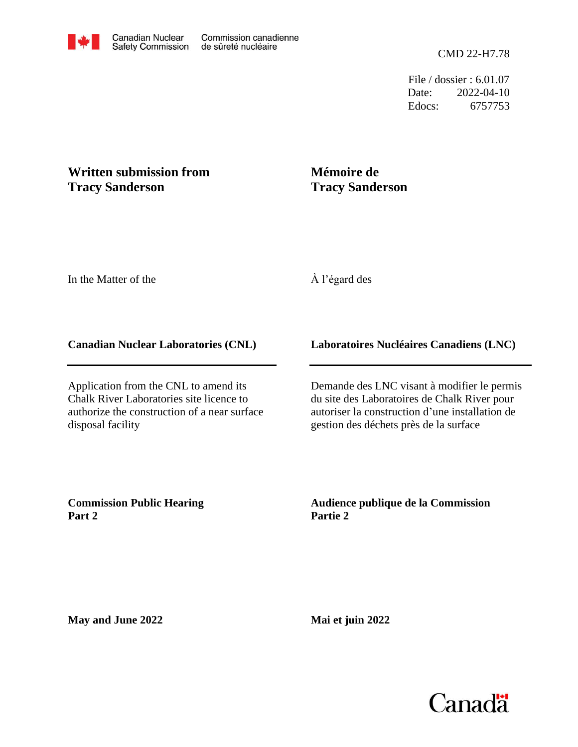File / dossier : 6.01.07 Date: 2022-04-10 Edocs: 6757753

# **Written submission from Tracy Sanderson**

# **Mémoire de Tracy Sanderson**

In the Matter of the

# À l'égard des

### **Canadian Nuclear Laboratories (CNL)**

Application from the CNL to amend its Chalk River Laboratories site licence to authorize the construction of a near surface disposal facility

### **Laboratoires Nucléaires Canadiens (LNC)**

Demande des LNC visant à modifier le permis du site des Laboratoires de Chalk River pour autoriser la construction d'une installation de gestion des déchets près de la surface

**Commission Public Hearing Part 2**

### **Audience publique de la Commission Partie 2**

**May and June 2022**

**Mai et juin 2022**